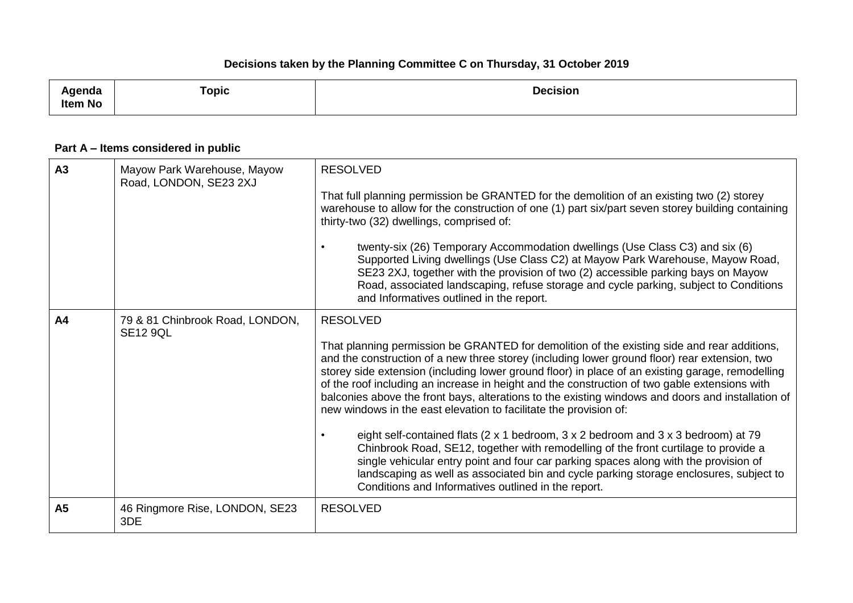## **Decisions taken by the Planning Committee C on Thursday, 31 October 2019**

| Agenda  | -<br><b>Topic</b> | <b>Decision</b><br>. |
|---------|-------------------|----------------------|
| Item No |                   |                      |

## **Part A – Items considered in public**

| A3             | Mayow Park Warehouse, Mayow<br>Road, LONDON, SE23 2XJ | <b>RESOLVED</b><br>That full planning permission be GRANTED for the demolition of an existing two (2) storey<br>warehouse to allow for the construction of one (1) part six/part seven storey building containing<br>thirty-two (32) dwellings, comprised of:<br>twenty-six (26) Temporary Accommodation dwellings (Use Class C3) and six (6)<br>$\bullet$<br>Supported Living dwellings (Use Class C2) at Mayow Park Warehouse, Mayow Road,<br>SE23 2XJ, together with the provision of two (2) accessible parking bays on Mayow<br>Road, associated landscaping, refuse storage and cycle parking, subject to Conditions<br>and Informatives outlined in the report.                                                                                                                                                                                                                                                                                                                                                           |
|----------------|-------------------------------------------------------|----------------------------------------------------------------------------------------------------------------------------------------------------------------------------------------------------------------------------------------------------------------------------------------------------------------------------------------------------------------------------------------------------------------------------------------------------------------------------------------------------------------------------------------------------------------------------------------------------------------------------------------------------------------------------------------------------------------------------------------------------------------------------------------------------------------------------------------------------------------------------------------------------------------------------------------------------------------------------------------------------------------------------------|
| A <sub>4</sub> | 79 & 81 Chinbrook Road, LONDON,<br><b>SE12 9QL</b>    | <b>RESOLVED</b><br>That planning permission be GRANTED for demolition of the existing side and rear additions,<br>and the construction of a new three storey (including lower ground floor) rear extension, two<br>storey side extension (including lower ground floor) in place of an existing garage, remodelling<br>of the roof including an increase in height and the construction of two gable extensions with<br>balconies above the front bays, alterations to the existing windows and doors and installation of<br>new windows in the east elevation to facilitate the provision of:<br>eight self-contained flats (2 x 1 bedroom, 3 x 2 bedroom and 3 x 3 bedroom) at 79<br>$\bullet$<br>Chinbrook Road, SE12, together with remodelling of the front curtilage to provide a<br>single vehicular entry point and four car parking spaces along with the provision of<br>landscaping as well as associated bin and cycle parking storage enclosures, subject to<br>Conditions and Informatives outlined in the report. |
| A <sub>5</sub> | 46 Ringmore Rise, LONDON, SE23<br>3DE                 | <b>RESOLVED</b>                                                                                                                                                                                                                                                                                                                                                                                                                                                                                                                                                                                                                                                                                                                                                                                                                                                                                                                                                                                                                  |